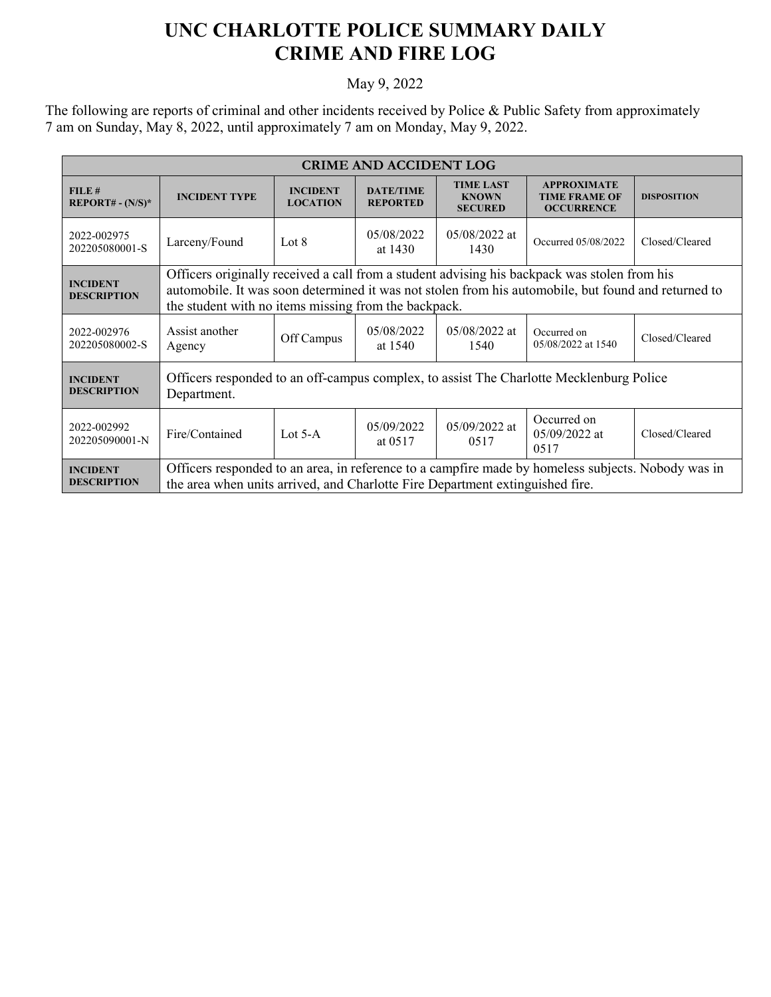## **UNC CHARLOTTE POLICE SUMMARY DAILY CRIME AND FIRE LOG**

## May 9, 2022

The following are reports of criminal and other incidents received by Police & Public Safety from approximately 7 am on Sunday, May 8, 2022, until approximately 7 am on Monday, May 9, 2022.

| <b>CRIME AND ACCIDENT LOG</b>         |                                                                                                                                                                                                                                                             |                                    |                                     |                                                    |                                                                 |                    |  |  |
|---------------------------------------|-------------------------------------------------------------------------------------------------------------------------------------------------------------------------------------------------------------------------------------------------------------|------------------------------------|-------------------------------------|----------------------------------------------------|-----------------------------------------------------------------|--------------------|--|--|
| FILE#<br>$REPORT# - (N/S)*$           | <b>INCIDENT TYPE</b>                                                                                                                                                                                                                                        | <b>INCIDENT</b><br><b>LOCATION</b> | <b>DATE/TIME</b><br><b>REPORTED</b> | <b>TIME LAST</b><br><b>KNOWN</b><br><b>SECURED</b> | <b>APPROXIMATE</b><br><b>TIME FRAME OF</b><br><b>OCCURRENCE</b> | <b>DISPOSITION</b> |  |  |
| 2022-002975<br>202205080001-S         | Larceny/Found                                                                                                                                                                                                                                               | Lot 8                              | 05/08/2022<br>at 1430               | $05/08/2022$ at<br>1430                            | Occurred 05/08/2022                                             | Closed/Cleared     |  |  |
| <b>INCIDENT</b><br><b>DESCRIPTION</b> | Officers originally received a call from a student advising his backpack was stolen from his<br>automobile. It was soon determined it was not stolen from his automobile, but found and returned to<br>the student with no items missing from the backpack. |                                    |                                     |                                                    |                                                                 |                    |  |  |
| 2022-002976<br>202205080002-S         | Assist another<br>Agency                                                                                                                                                                                                                                    | Off Campus                         | 05/08/2022<br>at 1540               | $05/08/2022$ at<br>1540                            | Occurred on<br>05/08/2022 at 1540                               | Closed/Cleared     |  |  |
| <b>INCIDENT</b><br><b>DESCRIPTION</b> | Officers responded to an off-campus complex, to assist The Charlotte Mecklenburg Police<br>Department.                                                                                                                                                      |                                    |                                     |                                                    |                                                                 |                    |  |  |
| 2022-002992<br>202205090001-N         | Fire/Contained                                                                                                                                                                                                                                              | Lot $5-A$                          | 05/09/2022<br>at 0517               | $05/09/2022$ at<br>0517                            | Occurred on<br>$05/09/2022$ at<br>0517                          | Closed/Cleared     |  |  |
| <b>INCIDENT</b><br><b>DESCRIPTION</b> | Officers responded to an area, in reference to a campfire made by homeless subjects. Nobody was in<br>the area when units arrived, and Charlotte Fire Department extinguished fire.                                                                         |                                    |                                     |                                                    |                                                                 |                    |  |  |